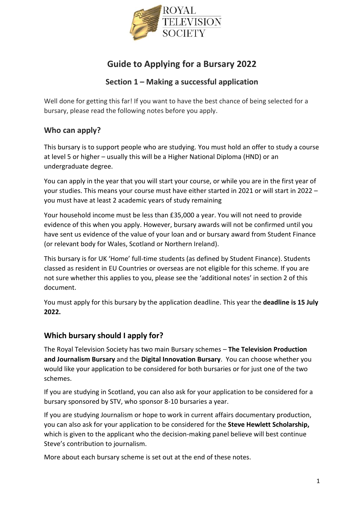

# **Guide to Applying for a Bursary 2022**

# **Section 1 – Making a successful application**

Well done for getting this far! If you want to have the best chance of being selected for a bursary, please read the following notes before you apply.

# **Who can apply?**

This bursary is to support people who are studying. You must hold an offer to study a course at level 5 or higher – usually this will be a Higher National Diploma (HND) or an undergraduate degree.

You can apply in the year that you will start your course, or while you are in the first year of your studies. This means your course must have either started in 2021 or will start in 2022 – you must have at least 2 academic years of study remaining

Your household income must be less than £35,000 a year. You will not need to provide evidence of this when you apply. However, bursary awards will not be confirmed until you have sent us evidence of the value of your loan and or bursary award from Student Finance (or relevant body for Wales, Scotland or Northern Ireland).

This bursary is for UK 'Home' full-time students (as defined by Student Finance). Students classed as resident in EU Countries or overseas are not eligible for this scheme. If you are not sure whether this applies to you, please see the 'additional notes' in section 2 of this document.

You must apply for this bursary by the application deadline. This year the **deadline is 15 July 2022.**

# **Which bursary should I apply for?**

The Royal Television Society has two main Bursary schemes – **The Television Production and Journalism Bursary** and the **Digital Innovation Bursary**. You can choose whether you would like your application to be considered for both bursaries or for just one of the two schemes.

If you are studying in Scotland, you can also ask for your application to be considered for a bursary sponsored by STV, who sponsor 8-10 bursaries a year.

If you are studying Journalism or hope to work in current affairs documentary production, you can also ask for your application to be considered for the **Steve Hewlett Scholarship,** which is given to the applicant who the decision-making panel believe will best continue Steve's contribution to journalism.

More about each bursary scheme is set out at the end of these notes.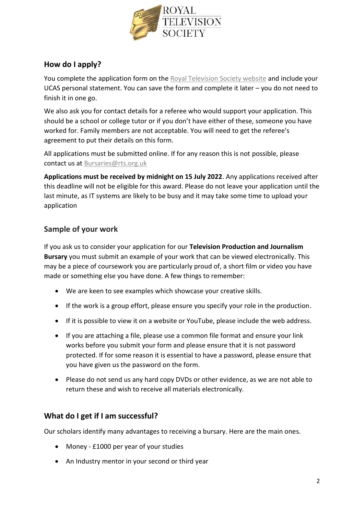

# **How do I apply?**

You complete the application form on the [Royal Television Society website](https://bursaries.rts.org.uk/entrant/dashboard.php) and include your UCAS personal statement. You can save the form and complete it later – you do not need to finish it in one go.

We also ask you for contact details for a referee who would support your application. This should be a school or college tutor or if you don't have either of these, someone you have worked for. Family members are not acceptable. You will need to get the referee's agreement to put their details on this form.

All applications must be submitted online. If for any reason this is not possible, please contact us at [Bursaries@rts.org.uk](mailto:Bursaries@rts.org.uk)

**Applications must be received by midnight on 15 July 2022**. Any applications received after this deadline will not be eligible for this award. Please do not leave your application until the last minute, as IT systems are likely to be busy and it may take some time to upload your application

# **Sample of your work**

If you ask us to consider your application for our **Television Production and Journalism Bursary** you must submit an example of your work that can be viewed electronically. This may be a piece of coursework you are particularly proud of, a short film or video you have made or something else you have done. A few things to remember:

- We are keen to see examples which showcase your creative skills.
- If the work is a group effort, please ensure you specify your role in the production.
- If it is possible to view it on a website or YouTube, please include the web address.
- If you are attaching a file, please use a common file format and ensure your link works before you submit your form and please ensure that it is not password protected. If for some reason it is essential to have a password, please ensure that you have given us the password on the form.
- Please do not send us any hard copy DVDs or other evidence, as we are not able to return these and wish to receive all materials electronically.

# **What do I get if I am successful?**

Our scholars identify many advantages to receiving a bursary. Here are the main ones.

- Money £1000 per year of your studies
- An Industry mentor in your second or third year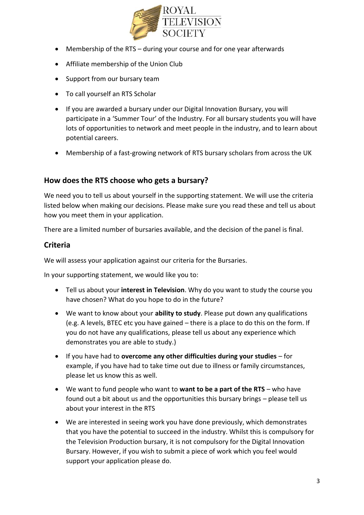

- Membership of the RTS during your course and for one year afterwards
- Affiliate membership of the Union Club
- Support from our bursary team
- To call yourself an RTS Scholar
- If you are awarded a bursary under our Digital Innovation Bursary, you will participate in a 'Summer Tour' of the Industry. For all bursary students you will have lots of opportunities to network and meet people in the industry, and to learn about potential careers.
- Membership of a fast-growing network of RTS bursary scholars from across the UK

#### **How does the RTS choose who gets a bursary?**

We need you to tell us about yourself in the supporting statement. We will use the criteria listed below when making our decisions. Please make sure you read these and tell us about how you meet them in your application.

There are a limited number of bursaries available, and the decision of the panel is final.

#### **Criteria**

We will assess your application against our criteria for the Bursaries.

In your supporting statement, we would like you to:

- Tell us about your **interest in Television**. Why do you want to study the course you have chosen? What do you hope to do in the future?
- We want to know about your **ability to study**. Please put down any qualifications (e.g. A levels, BTEC etc you have gained – there is a place to do this on the form. If you do not have any qualifications, please tell us about any experience which demonstrates you are able to study.)
- If you have had to **overcome any other difficulties during your studies** for example, if you have had to take time out due to illness or family circumstances, please let us know this as well.
- We want to fund people who want to **want to be a part of the RTS** who have found out a bit about us and the opportunities this bursary brings – please tell us about your interest in the RTS
- We are interested in seeing work you have done previously, which demonstrates that you have the potential to succeed in the industry. Whilst this is compulsory for the Television Production bursary, it is not compulsory for the Digital Innovation Bursary. However, if you wish to submit a piece of work which you feel would support your application please do.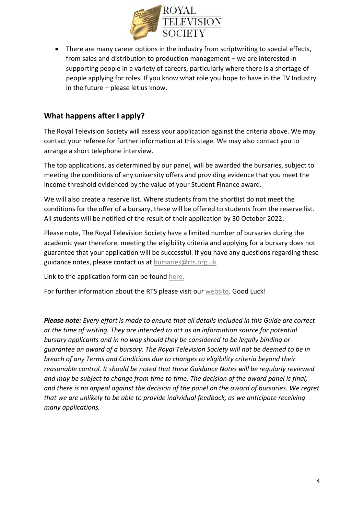

• There are many career options in the industry from scriptwriting to special effects, from sales and distribution to production management – we are interested in supporting people in a variety of careers, particularly where there is a shortage of people applying for roles. If you know what role you hope to have in the TV Industry in the future – please let us know.

### **What happens after I apply?**

The Royal Television Society will assess your application against the criteria above. We may contact your referee for further information at this stage. We may also contact you to arrange a short telephone interview.

The top applications, as determined by our panel, will be awarded the bursaries, subject to meeting the conditions of any university offers and providing evidence that you meet the income threshold evidenced by the value of your Student Finance award.

We will also create a reserve list. Where students from the shortlist do not meet the conditions for the offer of a bursary, these will be offered to students from the reserve list. All students will be notified of the result of their application by 30 October 2022.

Please note, The Royal Television Society have a limited number of bursaries during the academic year therefore, meeting the eligibility criteria and applying for a bursary does not guarantee that your application will be successful. If you have any questions regarding these guidance notes, please contact us at [bursaries@rts.org.uk](mailto:bursaries@rts.org.uk)

Link to the application form can be found [here.](https://bursaries.rts.org.uk/entrant/dashboard.php)

For further information about the RTS please visit our [website.](https://rts.org.uk/education-and-training-pages/bursaries) Good Luck!

*Please note: Every effort is made to ensure that all details included in this Guide are correct at the time of writing. They are intended to act as an information source for potential bursary applicants and in no way should they be considered to be legally binding or guarantee an award of a bursary. The Royal Television Society will not be deemed to be in breach of any Terms and Conditions due to changes to eligibility criteria beyond their reasonable control. It should be noted that these Guidance Notes will be regularly reviewed and may be subject to change from time to time. The decision of the award panel is final, and there is no appeal against the decision of the panel on the award of bursaries. We regret that we are unlikely to be able to provide individual feedback, as we anticipate receiving many applications.*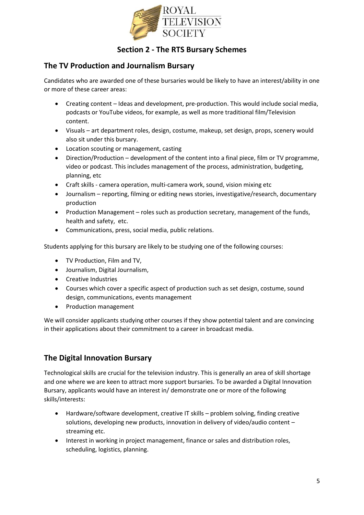

# **Section 2 - The RTS Bursary Schemes**

### **The TV Production and Journalism Bursary**

Candidates who are awarded one of these bursaries would be likely to have an interest/ability in one or more of these career areas:

- Creating content Ideas and development, pre-production. This would include social media, podcasts or YouTube videos, for example, as well as more traditional film/Television content.
- Visuals art department roles, design, costume, makeup, set design, props, scenery would also sit under this bursary.
- Location scouting or management, casting
- Direction/Production development of the content into a final piece, film or TV programme, video or podcast. This includes management of the process, administration, budgeting, planning, etc
- Craft skills camera operation, multi-camera work, sound, vision mixing etc
- Journalism reporting, filming or editing news stories, investigative/research, documentary production
- Production Management roles such as production secretary, management of the funds, health and safety, etc.
- Communications, press, social media, public relations.

Students applying for this bursary are likely to be studying one of the following courses:

- TV Production, Film and TV,
- Journalism, Digital Journalism,
- Creative Industries
- Courses which cover a specific aspect of production such as set design, costume, sound design, communications, events management
- Production management

We will consider applicants studying other courses if they show potential talent and are convincing in their applications about their commitment to a career in broadcast media.

# **The Digital Innovation Bursary**

Technological skills are crucial for the television industry. This is generally an area of skill shortage and one where we are keen to attract more support bursaries. To be awarded a Digital Innovation Bursary, applicants would have an interest in/ demonstrate one or more of the following skills/interests:

- Hardware/software development, creative IT skills problem solving, finding creative solutions, developing new products, innovation in delivery of video/audio content – streaming etc.
- Interest in working in project management, finance or sales and distribution roles, scheduling, logistics, planning.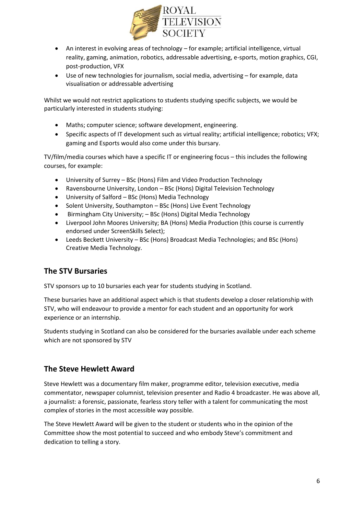

- An interest in evolving areas of technology for example; artificial intelligence, virtual reality, gaming, animation, robotics, addressable advertising, e-sports, motion graphics, CGI, post-production, VFX
- Use of new technologies for journalism, social media, advertising for example, data visualisation or addressable advertising

Whilst we would not restrict applications to students studying specific subjects, we would be particularly interested in students studying:

- Maths; computer science; software development, engineering.
- Specific aspects of IT development such as virtual reality; artificial intelligence; robotics; VFX; gaming and Esports would also come under this bursary.

TV/film/media courses which have a specific IT or engineering focus – this includes the following courses, for example:

- University of Surrey BSc (Hons) Film and Video Production Technology
- Ravensbourne University, London BSc (Hons) Digital Television Technology
- University of Salford BSc (Hons) Media Technology
- Solent University, Southampton BSc (Hons) Live Event Technology
- Birmingham City University; BSc (Hons) Digital Media Technology
- Liverpool John Moores University; BA (Hons) Media Production (this course is currently endorsed under ScreenSkills Select);
- Leeds Beckett University BSc (Hons) Broadcast Media Technologies; and BSc (Hons) Creative Media Technology.

# **The STV Bursaries**

STV sponsors up to 10 bursaries each year for students studying in Scotland.

These bursaries have an additional aspect which is that students develop a closer relationship with STV, who will endeavour to provide a mentor for each student and an opportunity for work experience or an internship.

Students studying in Scotland can also be considered for the bursaries available under each scheme which are not sponsored by STV

#### **The Steve Hewlett Award**

Steve Hewlett was a documentary film maker, programme editor, television executive, media commentator, newspaper columnist, television presenter and Radio 4 broadcaster. He was above all, a journalist: a forensic, passionate, fearless story teller with a talent for communicating the most complex of stories in the most accessible way possible.

The Steve Hewlett Award will be given to the student or students who in the opinion of the Committee show the most potential to succeed and who embody Steve's commitment and dedication to telling a story.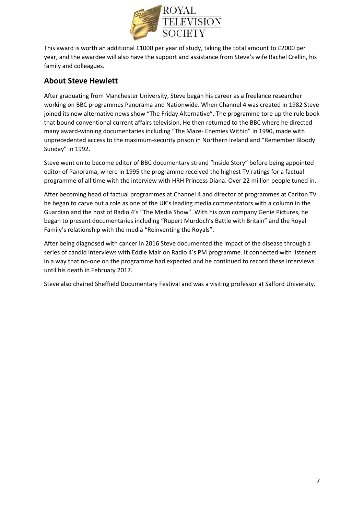

This award is worth an additional £1000 per year of study, taking the total amount to £2000 per year, and the awardee will also have the support and assistance from Steve's wife Rachel Crellin, his family and colleagues.

# **About Steve Hewlett**

After graduating from Manchester University, Steve began his career as a freelance researcher working on BBC programmes Panorama and Nationwide. When Channel 4 was created in 1982 Steve joined its new alternative news show "The Friday Alternative". The programme tore up the rule book that bound conventional current affairs television. He then returned to the BBC where he directed many award-winning documentaries including "The Maze- Enemies Within" in 1990, made with unprecedented access to the maximum-security prison in Northern Ireland and "Remember Bloody Sunday" in 1992.

Steve went on to become editor of BBC documentary strand "Inside Story" before being appointed editor of Panorama, where in 1995 the programme received the highest TV ratings for a factual programme of all time with the interview with HRH Princess Diana. Over 22 million people tuned in.

After becoming head of factual programmes at Channel 4 and director of programmes at Carlton TV he began to carve out a role as one of the UK's leading media commentators with a column in the Guardian and the host of Radio 4's "The Media Show". With his own company Genie Pictures, he began to present documentaries including "Rupert Murdoch's Battle with Britain" and the Royal Family's relationship with the media "Reinventing the Royals".

After being diagnosed with cancer in 2016 Steve documented the impact of the disease through a series of candid interviews with Eddie Mair on Radio 4's PM programme. It connected with listeners in a way that no-one on the programme had expected and he continued to record these interviews until his death in February 2017.

Steve also chaired Sheffield Documentary Festival and was a visiting professor at Salford University.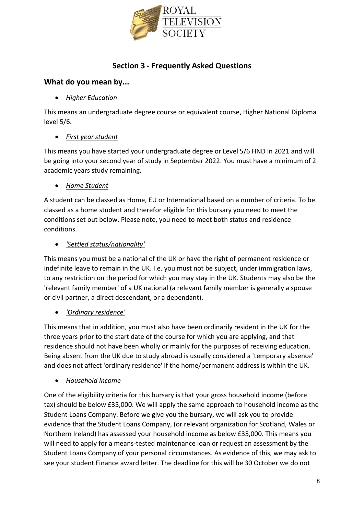

# **Section 3 - Frequently Asked Questions**

#### **What do you mean by...**

#### • *Higher Education*

This means an undergraduate degree course or equivalent course, Higher National Diploma level 5/6.

#### • *First year student*

This means you have started your undergraduate degree or Level 5/6 HND in 2021 and will be going into your second year of study in September 2022. You must have a minimum of 2 academic years study remaining.

#### • *Home Student*

A student can be classed as Home, EU or International based on a number of criteria. To be classed as a home student and therefor eligible for this bursary you need to meet the conditions set out below. Please note, you need to meet both status and residence conditions.

#### • *'Settled status/nationality'*

This means you must be a national of the UK or have the right of permanent residence or indefinite leave to remain in the UK. I.e. you must not be subject, under immigration laws, to any restriction on the period for which you may stay in the UK. Students may also be the 'relevant family member' of a UK national (a relevant family member is generally a spouse or civil partner, a direct descendant, or a dependant).

#### • *'Ordinary residence'*

This means that in addition, you must also have been ordinarily resident in the UK for the three years prior to the start date of the course for which you are applying, and that residence should not have been wholly or mainly for the purposes of receiving education. Being absent from the UK due to study abroad is usually considered a 'temporary absence' and does not affect 'ordinary residence' if the home/permanent address is within the UK.

#### • *Household Income*

One of the eligibility criteria for this bursary is that your gross household income (before tax) should be below £35,000. We will apply the same approach to household income as the Student Loans Company. Before we give you the bursary, we will ask you to provide evidence that the Student Loans Company, (or relevant organization for Scotland, Wales or Northern Ireland) has assessed your household income as below £35,000. This means you will need to apply for a means-tested maintenance loan or request an assessment by the Student Loans Company of your personal circumstances. As evidence of this, we may ask to see your student Finance award letter. The deadline for this will be 30 October we do not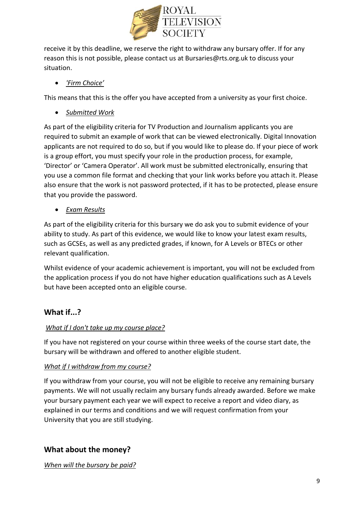

receive it by this deadline, we reserve the right to withdraw any bursary offer. If for any reason this is not possible, please contact us at Bursaries@rts.org.uk to discuss your situation.

#### • *'Firm Choice'*

This means that this is the offer you have accepted from a university as your first choice.

• *Submitted Work* 

As part of the eligibility criteria for TV Production and Journalism applicants you are required to submit an example of work that can be viewed electronically. Digital Innovation applicants are not required to do so, but if you would like to please do. If your piece of work is a group effort, you must specify your role in the production process, for example, 'Director' or 'Camera Operator'. All work must be submitted electronically, ensuring that you use a common file format and checking that your link works before you attach it. Please also ensure that the work is not password protected, if it has to be protected, please ensure that you provide the password.

• *Exam Results* 

As part of the eligibility criteria for this bursary we do ask you to submit evidence of your ability to study. As part of this evidence, we would like to know your latest exam results, such as GCSEs, as well as any predicted grades, if known, for A Levels or BTECs or other relevant qualification.

Whilst evidence of your academic achievement is important, you will not be excluded from the application process if you do not have higher education qualifications such as A Levels but have been accepted onto an eligible course.

# **What if...?**

#### *What if I don't take up my course place?*

If you have not registered on your course within three weeks of the course start date, the bursary will be withdrawn and offered to another eligible student.

#### *What if I withdraw from my course?*

If you withdraw from your course, you will not be eligible to receive any remaining bursary payments. We will not usually reclaim any bursary funds already awarded. Before we make your bursary payment each year we will expect to receive a report and video diary, as explained in our terms and conditions and we will request confirmation from your University that you are still studying.

# **What about the money?**

*When will the bursary be paid?*